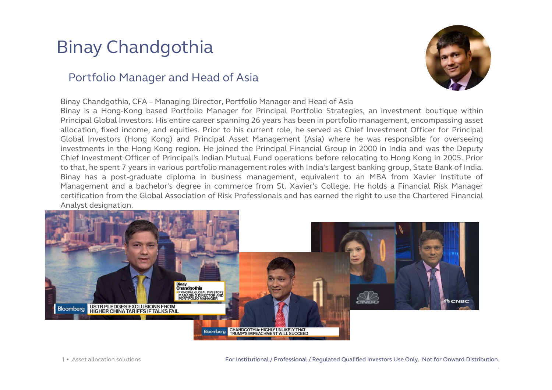## Binay Chandgothia

#### Portfolio Manager and Head of Asia

Binay Chandgothia, CFA – Managing Director, Portfolio Manager and Head of Asia

Binay is <sup>a</sup> Hong-Kong based Portfolio Manager for Principal Portfolio Strategies, an investment boutique within Principal Global Investors. His entire career spanning 26 years has been in portfolio management, encompassing asset allocation, fixed income, and equities. Prior to his current role, he served as Chief Investment Officer for Principal Global Investors (Hong Kong) and Principal Asset Management (Asia) where he was responsible for overseeing investments in the Hong Kong region. He joined the Principal Financial Group in 2000 in India and was the Deputy Chief Investment Officer of Principal's Indian Mutual Fund operations before relocating to Hong Kong in 2005. Prior to that, he spent 7 years in various portfolio management roles with India's largest banking group, State Bank of India. Binay has <sup>a</sup> post-graduate diploma in business management, equivalent to an MBA from Xavier Institute of Management and <sup>a</sup> bachelor's degree in commerce from St. Xavier's College. He holds <sup>a</sup> Financial Risk Manager certification from the Global Association of Risk Professionals and has earned the right to use the Chartered Financial Analyst designation.



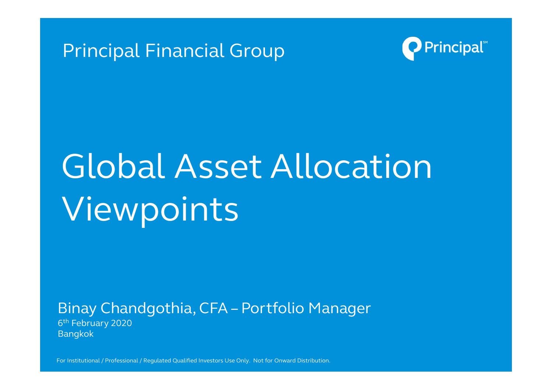



# Global Asset Allocation Viewpoints

Binay Chandgothia, CFA – Portfolio Manager 6th February 2020 Bangkok

For Institutional / Professional / Regulated Qualified Investors Use Only. Not for Onward Distribution. The content of the content of the content of the content of the content of the content of the content of the content o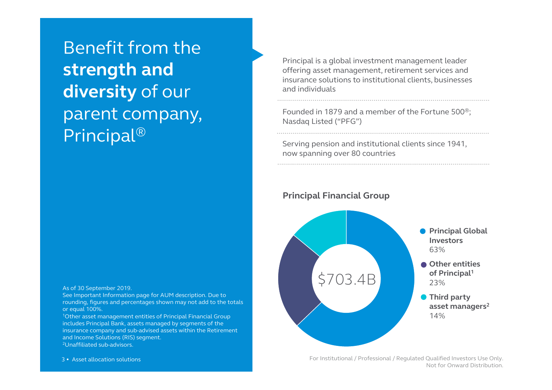Benefit from the **strength and diversity** of our parent company, Principal®

As of 30 September 2019.

See Important Information page for AUM description. Due to rounding, figures and percentages shown may not add to the totals or equal 100%.

1Other asset management entities of Principal Financial Group includes Principal Bank, assets managed by segments of the insurance company and sub-advised assets within the Retirement and Income Solutions (RIS) segment. 2Unaffiliated sub-advisors.

Principal is a global investment management leader offering asset management, retirement services and insurance solutions to institutional clients, businesses and individuals

Founded in 1879 and a member of the Fortune 500®; Nasdaq Listed ("PFG")

Serving pension and institutional clients since 1941, now spanning over 80 countries

**Principal Financial Group**



For Institutional / Professional / Regulated Qualified Investors Use Only. Not for Onward Distribution.

3 • Asset allocation solutions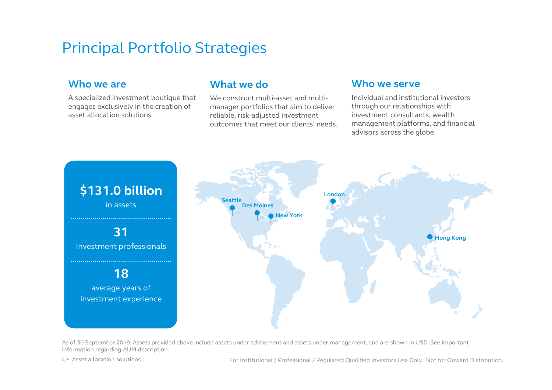### Principal Portfolio Strategies

#### **Who we are**

A specialized investment boutique that engages exclusively in the creation of asset allocation solutions.

#### **What we do**

We construct multi-asset and multimanager portfolios that aim to deliver reliable, risk-adjusted investment outcomes that meet our clients' needs.

#### **Who we serve**

Individual and institutional investors through our relationships with investment consultants, wealth management platforms, and financial advisors across the globe.



As of 30 September 2019. Assets provided above include assets under advisement and assets under management, and are shown in USD. See important information regarding AUM description.

4 • Asset allocation solutions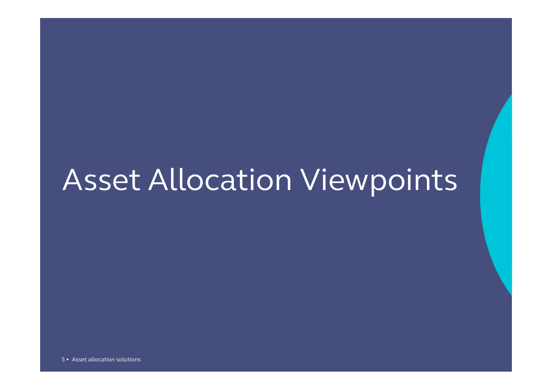## Asset Allocation Viewpoints

5 • Asset allocation solutions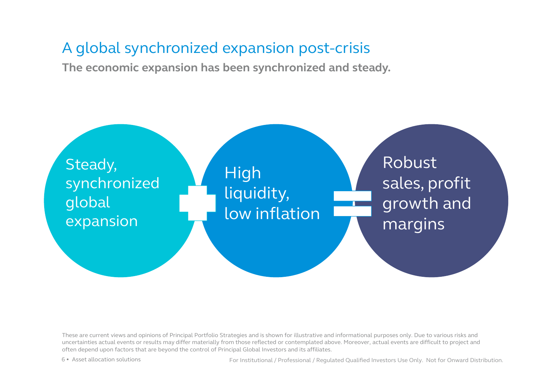### A global synchronized expansion post-crisis

**The economic expansion has been synchronized and steady.** 



These are current views and opinions of Principal Portfolio Strategies and is shown for illustrative and informational purposes only. Due to various risks and uncertainties actual events or results may differ materially from those reflected or contemplated above. Moreover, actual events are difficult to project and often depend upon factors that are beyond the control of Principal Global Investors and its affiliates.

6 • Asset allocation solutions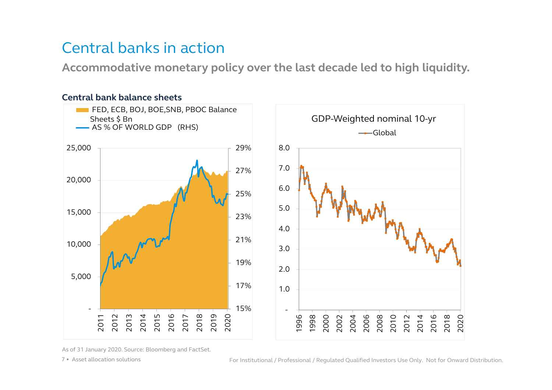### Central banks in action

**Accommodative monetary policy over the last decade led to high liquidity.**



As of 31 January 2020. Source: Bloomberg and FactSet.

7 • Asset allocation solutions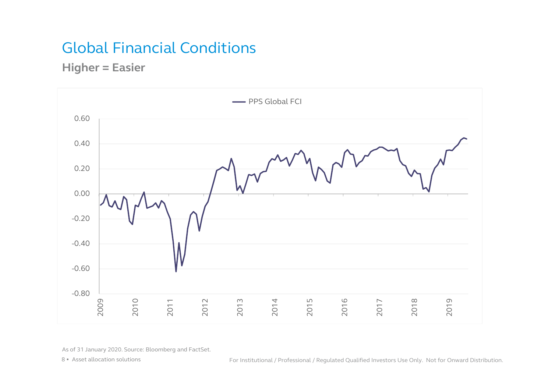### Global Financial Conditions

**Higher = Easier**



As of 31 January 2020. Source: Bloomberg and FactSet.

8 • Asset allocation solutions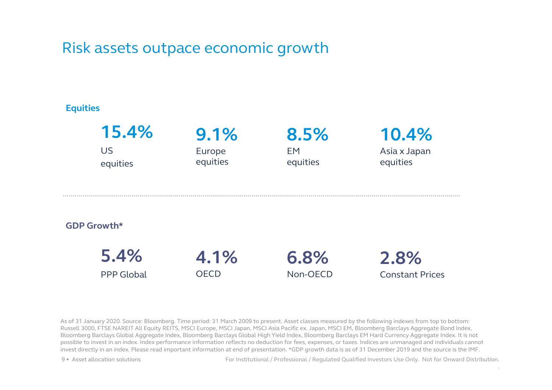### Risk assets outpace economic growth

#### **Equities**



As of 31 January 2020. Source: Bloomberg. Time period: 31 March 2009 to present. Asset classes measured by the following indexes from top to bottom: Russell 3000, FTSE NAREIT All Equity REITS, MSCI Europe, MSCI Japan, MSCI Asia Pacific ex. Japan, MSCI EM, Bloomberg Barclays Aggregate Bond Index, Bloomberg Barclays Global Aggregate Index, Bloomberg Barclays Global High Yield Index, Bloomberg Barclays EM Hard Currency Aggregate Index. It is not possible to invest in an index. Index performance information reflects no deduction for fees, expenses, or taxes. Indices are unmanaged and individuals cannot invest directly in an index. Please read important information at end of presentation. \*GDP growth data is as of 31 December 2019 and the source is the IMF.

9 • Asset allocation solutions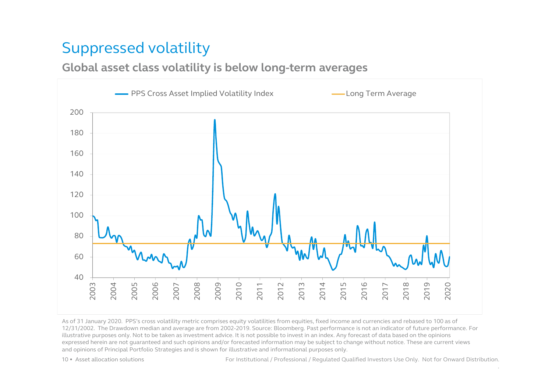### Suppressed volatility

### **Global asset class volatility is below long-term averages**



As of 31 January 2020. PPS's cross volatility metric comprises equity volatilities from equities, fixed income and currencies and rebased to 100 as of 12/31/2002. The Drawdown median and average are from 2002-2019. Source: Bloomberg. Past performance is not an indicator of future performance. For illustrative purposes only. Not to be taken as investment advice. It is not possible to invest in an index. Any forecast of data based on the opinions expressed herein are not guaranteed and such opinions and/or forecasted information may be subject to change without notice. These are current views and opinions of Principal Portfolio Strategies and is shown for illustrative and informational purposes only.

• Asset allocation solutions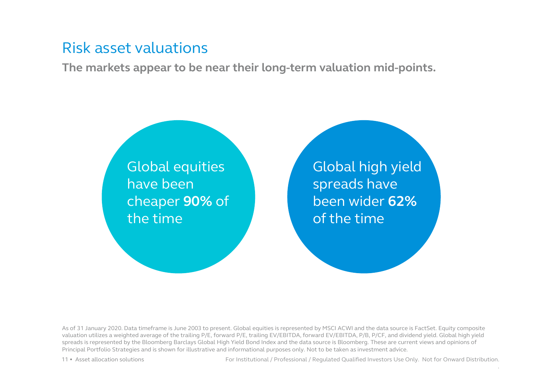### Risk asset valuations

**The markets appear to be near their long-term valuation mid-points.**

Global equities have been cheaper **90%** of the time

Global high yield spreads have been wider **62%**  of the time

As of 31 January 2020. Data timeframe is June 2003 to present. Global equities is represented by MSCI ACWI and the data source is FactSet. Equity composite valuation utilizes a weighted average of the trailing P/E, forward P/E, trailing EV/EBITDA, forward EV/EBITDA, P/B, P/CF, and dividend yield. Global high yield spreads is represented by the Bloomberg Barclays Global High Yield Bond Index and the data source is Bloomberg. These are current views and opinions of Principal Portfolio Strategies and is shown for illustrative and informational purposes only. Not to be taken as investment advice.

11 • Asset allocation solutions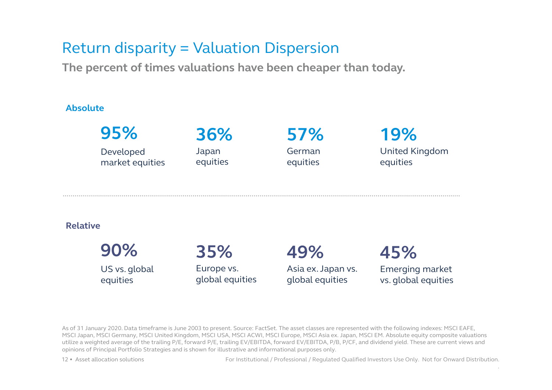### Return disparity = Valuation Dispersion

**The percent of times valuations have been cheaper than today.**

#### **Absolute**



US vs. global equities

Europe vs. global equities Asia ex. Japan vs. global equities

Emerging market vs. global equities

As of 31 January 2020. Data timeframe is June 2003 to present. Source: FactSet. The asset classes are represented with the following indexes: MSCI EAFE, MSCI Japan, MSCI Germany, MSCI United Kingdom, MSCI USA, MSCI ACWI, MSCI Europe, MSCI Asia ex. Japan, MSCI EM. Absolute equity composite valuations utilize a weighted average of the trailing P/E, forward P/E, trailing EV/EBITDA, forward EV/EBITDA, P/B, P/CF, and dividend yield. These are current views and opinions of Principal Portfolio Strategies and is shown for illustrative and informational purposes only.

12 • Asset allocation solutions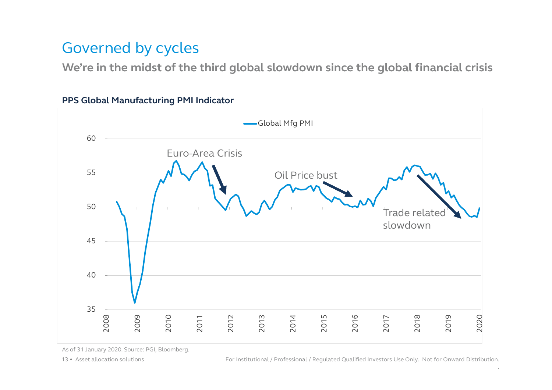### Governed by cycles

**We're in the midst of the third global slowdown since the global financial crisis**

#### **PPS Global Manufacturing PMI Indicator**



As of 31 January 2020. Source: PGI, Bloomberg.

13 • Asset allocation solutions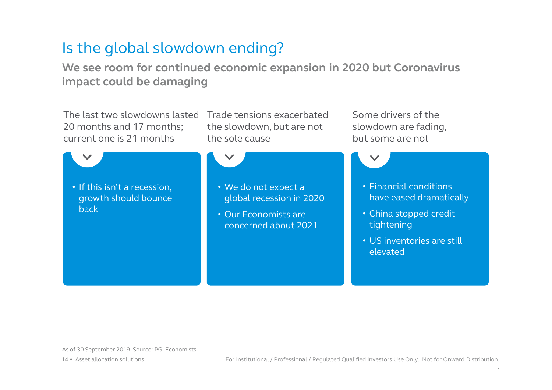### Is the global slowdown ending?

**We see room for continued economic expansion in 2020 but Coronavirus impact could be damaging**

The last two slowdowns lasted Trade tensions exacerbated 20 months and 17 months; current one is 21 months

the slowdown, but are not the sole cause

• If this isn't a recession, growth should bounce back

• We do not expect a global recession in 2020

• Our Economists are concerned about 2021 Some drivers of the slowdown are fading, but some are not

> • Financial conditions have eased dramatically

- China stopped credit tightening
- US inventories are still elevated

As of 30 September 2019. Source: PGI Economists.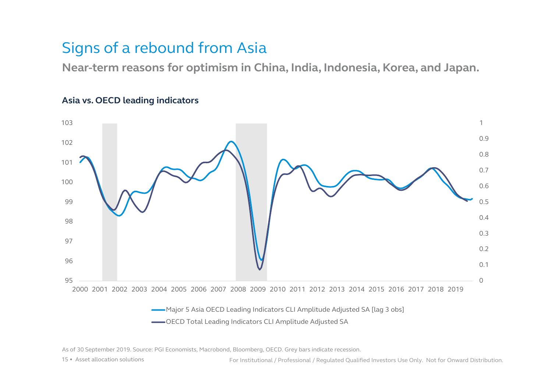### Signs of a rebound from Asia

**Near-term reasons for optimism in China, India, Indonesia, Korea, and Japan.**



#### **Asia vs. OECD leading indicators**

As of 30 September 2019. Source: PGI Economists, Macrobond, Bloomberg, OECD. Grey bars indicate recession.

15 • Asset allocation solutions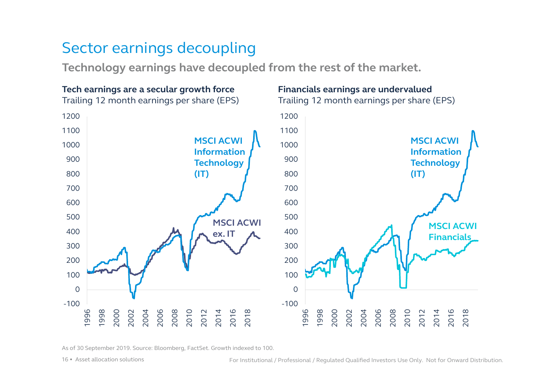### Sector earnings decoupling

**Technology earnings have decoupled from the rest of the market.**



As of 30 September 2019. Source: Bloomberg, FactSet. Growth indexed to 100.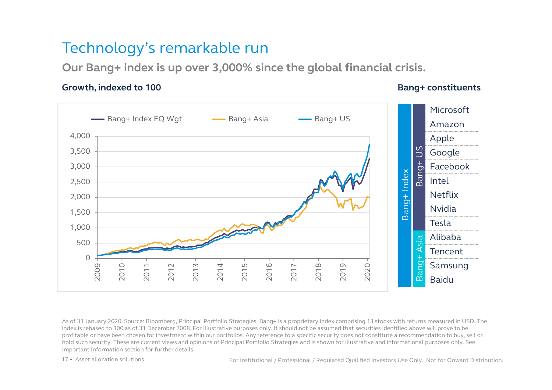### Technology's remarkable run

**Our Bang+ index is up over 3,000% since the global financial crisis.**

#### **Growth, indexed to 100 b Bang+ constituents**



As of 31 January 2020. Source: Bloomberg, Principal Portfolio Strategies. Bang+ is a proprietary index comprising 13 stocks with returns measured in USD. The index is rebased to 100 as of 31 December 2008. For illustrative purposes only. It should not be assumed that securities identified above will prove to be profitable or have been chosen for investment within our portfolios. Any reference to a specific security does not constitute a recommendation to buy, sell or hold such security. These are current views and opinions of Principal Portfolio Strategies and is shown for illustrative and informational purposes only. See Important Information section for further details.

17 • Asset allocation solutions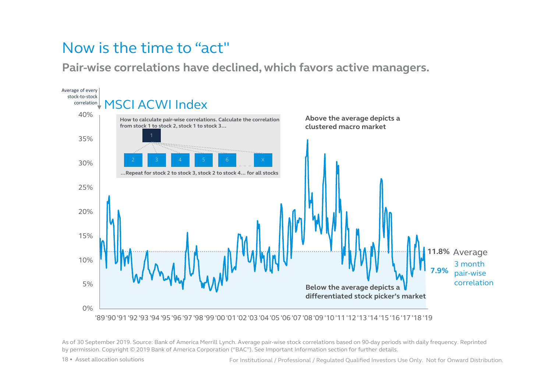### Now is the time to "act"

**Pair-wise correlations have declined, which favors active managers.** 



As of 30 September 2019. Source: Bank of America Merrill Lynch. Average pair-wise stock correlations based on 90-day periods with daily frequency. Reprinted by permission. Copyright © 2019 Bank of America Corporation ("BAC"). See Important Information section for further details.

18 • Asset allocation solutions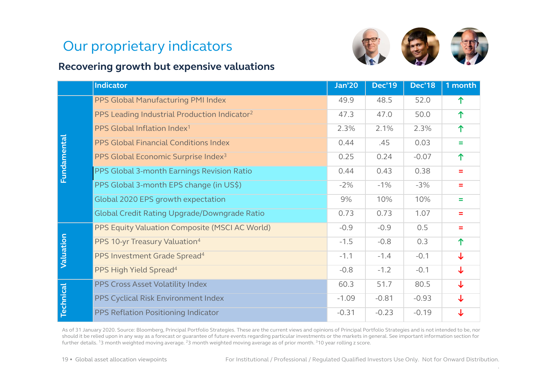### Our proprietary indicators





#### **Recovering growth but expensive valuations**

|                  | <b>Indicator</b>                                         | <b>Jan'20</b> | <b>Dec'19</b> | <b>Dec'18</b> | 1 month  |
|------------------|----------------------------------------------------------|---------------|---------------|---------------|----------|
|                  | PPS Global Manufacturing PMI Index                       | 49.9          | 48.5          | 52.0          | ↑        |
|                  | PPS Leading Industrial Production Indicator <sup>2</sup> | 47.3          | 47.0          | 50.0          | ↑        |
|                  | PPS Global Inflation Index <sup>1</sup>                  | 2.3%          | 2.1%          | 2.3%          | 个        |
|                  | PPS Global Financial Conditions Index                    | 0.44          | .45           | 0.03          | $=$      |
|                  | PPS Global Economic Surprise Index <sup>3</sup>          | 0.25          | 0.24          | $-0.07$       | ↑        |
| Fundamental      | PPS Global 3-month Earnings Revision Ratio               | 0.44          | 0.43          | 0.38          | $=$      |
|                  | PPS Global 3-month EPS change (in US\$)                  | $-2%$         | $-1%$         | $-3%$         | $\equiv$ |
|                  | Global 2020 EPS growth expectation                       | 9%            | 10%           | 10%           | =        |
|                  | Global Credit Rating Upgrade/Downgrade Ratio             | 0.73          | 0.73          | 1.07          | $=$      |
|                  | PPS Equity Valuation Composite (MSCI AC World)           | $-0.9$        | $-0.9$        | 0.5           | Ξ        |
|                  | PPS 10-yr Treasury Valuation <sup>4</sup>                | $-1.5$        | $-0.8$        | 0.3           | 个        |
| Valuation        | PPS Investment Grade Spread <sup>4</sup>                 | $-1.1$        | $-1.4$        | $-0.1$        | ↓        |
|                  | PPS High Yield Spread <sup>4</sup>                       | $-0.8$        | $-1.2$        | $-0.1$        | ↓        |
|                  | PPS Cross Asset Volatility Index                         | 60.3          | 51.7          | 80.5          | ↓        |
| <b>Technical</b> | PPS Cyclical Risk Environment Index                      | $-1.09$       | $-0.81$       | $-0.93$       | ↓        |
|                  | PPS Reflation Positioning Indicator                      | $-0.31$       | $-0.23$       | $-0.19$       | ↓        |

As of 31 January 2020. Source: Bloomberg, Principal Portfolio Strategies. These are the current views and opinions of Principal Portfolio Strategies and is not intended to be, nor should it be relied upon in any way as a forecast or guarantee of future events regarding particular investments or the markets in general. See important information section for further details. 13 month weighted moving average. 23 month weighted moving average as of prior month. 310 year rolling z score.

19 • Global asset allocation viewpoints For Institutional / Professional / Regulated Qualified Investors Use Only. Not for Onward Distribution.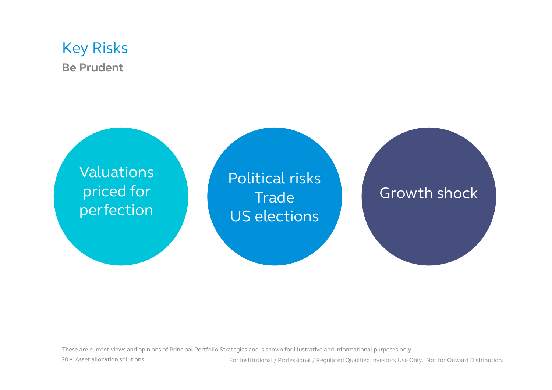### Key Risks **Be Prudent**



These are current views and opinions of Principal Portfolio Strategies and is shown for illustrative and informational purposes only.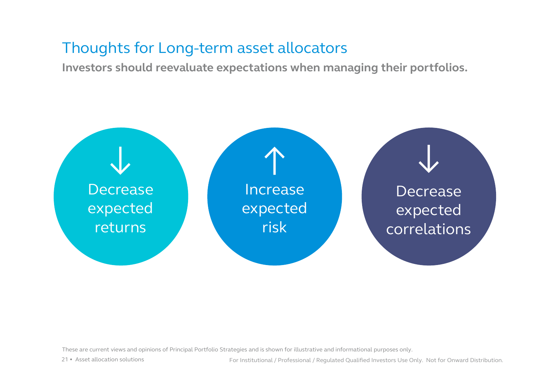### Thoughts for Long-term asset allocators

**Investors should reevaluate expectations when managing their portfolios.**



These are current views and opinions of Principal Portfolio Strategies and is shown for illustrative and informational purposes only.

21 • Asset allocation solutions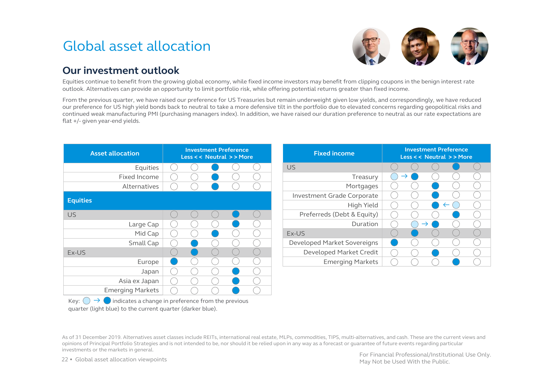### Global asset allocation



#### **Our investment outlook**

Equities continue to benefit from the growing global economy, while fixed income investors may benefit from clipping coupons in the benign interest rate outlook. Alternatives can provide an opportunity to limit portfolio risk, while offering potential returns greater than fixed income.

From the previous quarter, we have raised our preference for US Treasuries but remain underweight given low yields, and correspondingly, we have reduced our preference for US high yield bonds back to neutral to take a more defensive tilt in the portfolio due to elevated concerns regarding geopolitical risks and continued weak manufacturing PMI (purchasing managers index). In addition, we have raised our duration preference to neutral as our rate expectations are flat +/- given year-end yields.

| <b>Asset allocation</b> |  | Less << Neutral >>More | <b>Investment Preference</b> |  |
|-------------------------|--|------------------------|------------------------------|--|
| Equities                |  |                        |                              |  |
| Fixed Income            |  |                        |                              |  |
| Alternatives            |  |                        |                              |  |
| <b>Equities</b>         |  |                        |                              |  |
|                         |  |                        |                              |  |
| <b>US</b>               |  |                        |                              |  |
| Large Cap               |  |                        |                              |  |
| Mid Cap                 |  |                        |                              |  |
| Small Cap               |  |                        |                              |  |
| Ex-US                   |  |                        |                              |  |
| Europe                  |  |                        |                              |  |
| Japan                   |  |                        |                              |  |
| Asia ex Japan           |  |                        |                              |  |
| <b>Emerging Markets</b> |  |                        |                              |  |

Key:  $\bigcirc \rightarrow \bigcirc$  indicates a change in preference from the previous quarter (light blue) to the current quarter (darker blue).

investments or the markets in general. The markets in general. The markets in general. The markets in general.  $\blacksquare$ As of 31 December 2019. Alternatives asset classes include REITs, international real estate, MLPs, commodities, TIPS, multi-alternatives, and cash. These are the current views and opinions of Principal Portfolio Strategies and is not intended to be, nor should it be relied upon in any way as a forecast or guarantee of future events regarding particular

22 • Global asset allocation viewpoints

May Not be Used With the Public.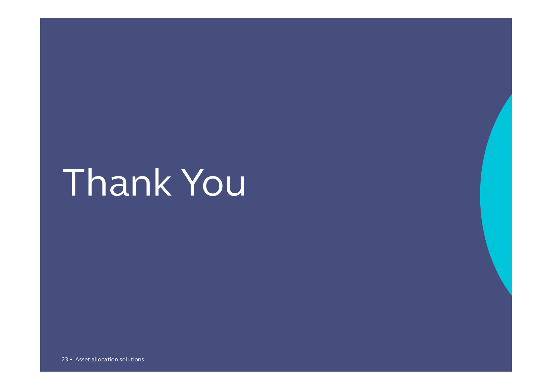## Thank You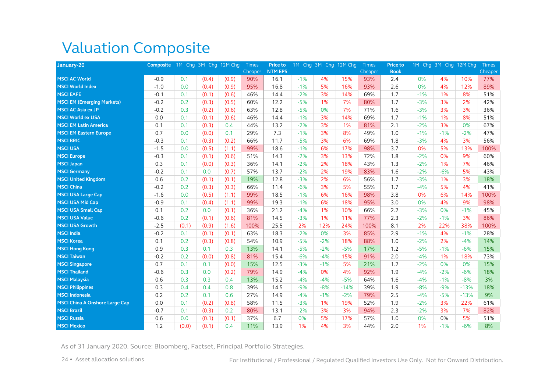### Valuation Composite

| January-20                            | Composite 1M Chg 3M Chg 12M Chg |       |       |       | <b>Times</b> | Price to       |       |       | 1M Chg 3M Chg 12M Chg | Times          | Price to    |       | 1M Chg 3M Chg 12M Chg |        | <b>Times</b> |
|---------------------------------------|---------------------------------|-------|-------|-------|--------------|----------------|-------|-------|-----------------------|----------------|-------------|-------|-----------------------|--------|--------------|
|                                       |                                 |       |       |       | Cheaper      | <b>NTM EPS</b> |       |       |                       | <b>Cheaper</b> | <b>Book</b> |       |                       |        | Cheaper      |
| <b>MSCI AC World</b>                  | $-0.9$                          | 0.1   | (0.4) | (0.9) | 90%          | 16.1           | $-1%$ | 4%    | 15%                   | 93%            | 2.4         | 0%    | 4%                    | 10%    | 77%          |
| <b>MSCI World Index</b>               | $-1.0$                          | 0.0   | (0.4) | (0.9) | 95%          | 16.8           | $-1%$ | 5%    | 16%                   | 93%            | 2.6         | 0%    | 4%                    | 12%    | 89%          |
| <b>MSCI EAFE</b>                      | $-0.1$                          | 0.1   | (0.1) | (0.6) | 46%          | 14.4           | $-2%$ | 3%    | 14%                   | 69%            | 1.7         | $-1%$ | 1%                    | 8%     | 51%          |
| <b>MSCI EM (Emerging Markets)</b>     | $-0.2$                          | 0.2   | (0.3) | (0.5) | 60%          | 12.2           | $-5%$ | 1%    | 7%                    | 80%            | 1.7         | $-3%$ | 3%                    | 2%     | 42%          |
| <b>MSCI AC Asia ex JP</b>             | $-0.2$                          | 0.3   | (0.2) | (0.6) | 63%          | 12.8           | $-5%$ | 0%    | 7%                    | 71%            | 1.6         | $-3%$ | 3%                    | 3%     | 36%          |
| <b>MSCI World ex USA</b>              | 0.0                             | 0.1   | (0.1) | (0.6) | 46%          | 14.4           | $-1%$ | 3%    | 14%                   | 69%            | 1.7         | $-1%$ | 1%                    | 8%     | 51%          |
| <b>MSCI EM Latin America</b>          | 0.1                             | 0.1   | (0.3) | 0.4   | 44%          | 13.2           | $-2%$ | 3%    | 1%                    | 81%            | 2.1         | $-2%$ | 3%                    | 0%     | 67%          |
| <b>MSCI EM Eastern Europe</b>         | 0.7                             | 0.0   | (0.0) | 0.1   | 29%          | 7.3            | $-1%$ | 3%    | 8%                    | 49%            | 1.0         | $-1%$ | $-1%$                 | $-2%$  | 47%          |
| <b>MSCI BRIC</b>                      | $-0.3$                          | 0.1   | (0.3) | (0.2) | 66%          | 11.7           | $-5%$ | 3%    | 6%                    | 69%            | 1.8         | $-3%$ | 4%                    | 3%     | 56%          |
| <b>MSCI USA</b>                       | $-1.5$                          | 0.0   | (0.5) | (1.1) | 99%          | 18.6           | $-1%$ | 6%    | 17%                   | 98%            | 3.7         | 0%    | 5%                    | 13%    | 100%         |
| <b>MSCI Europe</b>                    | $-0.3$                          | 0.1   | (0.1) | (0.6) | 51%          | 14.3           | $-2%$ | 3%    | 13%                   | 72%            | 1.8         | $-2%$ | 0%                    | 9%     | 60%          |
| <b>MSCI Japan</b>                     | 0.3                             | 0.1   | (0.0) | (0.3) | 36%          | 14.1           | $-2%$ | 2%    | 18%                   | 43%            | 1.3         | $-2%$ | 1%                    | 7%     | 46%          |
| <b>MSCI Germany</b>                   | $-0.2$                          | 0.1   | 0.0   | (0.7) | 57%          | 13.7           | $-2%$ | 2%    | 19%                   | 83%            | 1.6         | $-2%$ | $-6%$                 | 5%     | 43%          |
| <b>MSCI United Kingdom</b>            | 0.6                             | 0.2   | (0.1) | (0.1) | 19%          | 12.8           | $-3%$ | 2%    | 6%                    | 56%            | 1.7         | $-3%$ | 1%                    | 3%     | 18%          |
| <b>MSCI China</b>                     | $-0.2$                          | 0.2   | (0.3) | (0.3) | 66%          | 11.4           | $-6%$ | 3%    | 5%                    | 55%            | 1.7         | $-4%$ | 5%                    | 4%     | 41%          |
| <b>MSCI USA Large Cap</b>             | $-1.6$                          | 0.0   | (0.5) | (1.1) | 99%          | 18.5           | $-1%$ | 6%    | 16%                   | 98%            | 3.8         | 0%    | 6%                    | 14%    | 100%         |
| <b>MSCI USA Mid Cap</b>               | $-0.9$                          | 0.1   | (0.4) | (1.1) | 99%          | 19.3           | $-1%$ | 6%    | 18%                   | 95%            | 3.0         | 0%    | 4%                    | 9%     | 98%          |
| <b>MSCI USA Small Cap</b>             | 0.1                             | 0.2   | 0.0   | (0.1) | 36%          | 21.2           | $-4%$ | 1%    | 10%                   | 66%            | 2.2         | $-3%$ | 0%                    | $-1%$  | 45%          |
| <b>MSCI USA Value</b>                 | $-0.6$                          | 0.2   | (0.1) | (0.6) | 81%          | 14.5           | $-3%$ | 1%    | 11%                   | 77%            | 2.3         | $-2%$ | $-1%$                 | 3%     | 86%          |
| <b>MSCI USA Growth</b>                | $-2.5$                          | (0.1) | (0.9) | (1.6) | 100%         | 25.5           | 2%    | 12%   | 24%                   | 100%           | 8.1         | 2%    | 22%                   | 38%    | 100%         |
| <b>MSCI India</b>                     | $-0.2$                          | 0.1   | (0.1) | (0.1) | 63%          | 18.3           | $-2%$ | 0%    | 3%                    | 85%            | 2.9         | $-1%$ | 4%                    | $-1%$  | 28%          |
| <b>MSCI Korea</b>                     | 0.1                             | 0.2   | (0.3) | (0.8) | 54%          | 10.9           | $-5%$ | $-2%$ | 18%                   | 88%            | 1.0         | $-2%$ | 2%                    | $-4%$  | 14%          |
| <b>MSCI Hong Kong</b>                 | 0.9                             | 0.3   | 0.1   | 0.3   | 13%          | 14.1           | $-5%$ | $-2%$ | $-5%$                 | 17%            | 1.2         | $-5%$ | $-1%$                 | $-6%$  | 15%          |
| <b>MSCI Taiwan</b>                    | $-0.2$                          | 0.2   | (0.0) | (0.8) | 81%          | 15.4           | $-6%$ | $-4%$ | 15%                   | 91%            | 2.0         | $-4%$ | 1%                    | 18%    | 73%          |
| <b>MSCI Singapore</b>                 | 0.7                             | 0.1   | 0.1   | (0.0) | 15%          | 12.5           | $-3%$ | $-1%$ | 5%                    | 21%            | 1.2         | $-2%$ | 0%                    | 0%     | 15%          |
| <b>MSCI Thailand</b>                  | $-0.6$                          | 0.3   | 0.0   | (0.2) | 79%          | 14.9           | $-4%$ | 0%    | 4%                    | 92%            | 1.9         | $-4%$ | $-2%$                 | $-6%$  | 18%          |
| <b>MSCI Malaysia</b>                  | 0.6                             | 0.3   | 0.3   | 0.4   | 13%          | 15.2           | $-4%$ | $-4%$ | $-5%$                 | 64%            | 1.6         | $-4%$ | $-1%$                 | $-8%$  | 3%           |
| <b>MSCI Philippines</b>               | 0.3                             | 0.4   | 0.4   | 0.8   | 39%          | 14.5           | $-9%$ | $-8%$ | $-14%$                | 39%            | 1.9         | $-8%$ | $-9%$                 | $-13%$ | 18%          |
| <b>MSCI Indonesia</b>                 | 0.2                             | 0.2   | 0.1   | 0.6   | 27%          | 14.9           | $-4%$ | $-1%$ | $-2%$                 | 79%            | 2.5         | $-4%$ | $-5%$                 | $-13%$ | 9%           |
| <b>MSCI China A Onshore Large Cap</b> | 0.0                             | 0.1   | (0.2) | (0.8) | 58%          | 11.5           | $-3%$ | 1%    | 19%                   | 52%            | 1.9         | $-2%$ | 3%                    | 22%    | 61%          |
| <b>MSCI Brazil</b>                    | $-0.7$                          | 0.1   | (0.3) | 0.2   | 80%          | 13.1           | $-2%$ | 3%    | 3%                    | 94%            | 2.3         | $-2%$ | 3%                    | 7%     | 82%          |
| <b>MSCI Russia</b>                    | 0.6                             | 0.0   | (0.1) | (0.1) | 37%          | 6.7            | 0%    | 5%    | 17%                   | 57%            | 1.0         | 0%    | 0%                    | 5%     | 51%          |
| <b>MSCI Mexico</b>                    | 1.2                             | (0.0) | (0.1) | 0.4   | 11%          | 13.9           | 1%    | 4%    | 3%                    | 44%            | 2.0         | 1%    | $-1%$                 | $-6%$  | 8%           |

As of 31 January 2020. Source: Bloomberg, Factset, Principal Portfolio Strategies.

24 • Asset allocation solutions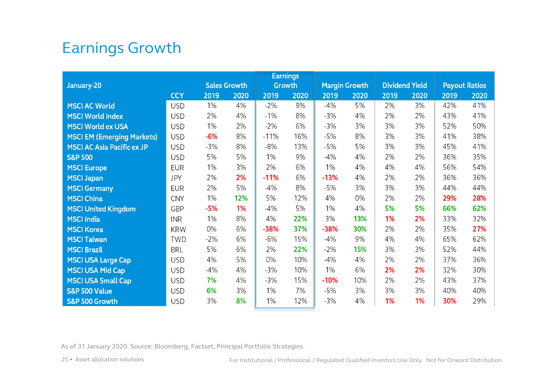### Earnings Growth

|                                   |            |                     |      |               | <b>Earnings</b> |                      |      |                       |      |      |                      |
|-----------------------------------|------------|---------------------|------|---------------|-----------------|----------------------|------|-----------------------|------|------|----------------------|
| January-20                        |            | <b>Sales Growth</b> |      | <b>Growth</b> |                 | <b>Margin Growth</b> |      | <b>Dividend Yield</b> |      |      | <b>Payout Ratios</b> |
|                                   | <b>CCY</b> | 2019                | 2020 | 2019          | 2020            | 2019                 | 2020 | 2019                  | 2020 | 2019 | 2020                 |
| <b>MSCI AC World</b>              | <b>USD</b> | 1%                  | 4%   | $-2%$         | 9%              | $-4%$                | 5%   | 2%                    | 3%   | 42%  | 41%                  |
| <b>MSCI World Index</b>           | <b>USD</b> | 2%                  | 4%   | $-1%$         | 8%              | $-3%$                | 4%   | 2%                    | 2%   | 43%  | 41%                  |
| <b>MSCI World ex USA</b>          | <b>USD</b> | 1%                  | 2%   | $-2%$         | 6%              | $-3%$                | 3%   | 3%                    | 3%   | 52%  | 50%                  |
| <b>MSCI EM (Emerging Markets)</b> | <b>USD</b> | $-6%$               | 8%   | $-11%$        | 16%             | $-5%$                | 8%   | 3%                    | 3%   | 41%  | 38%                  |
| <b>MSCI AC Asia Pacific ex JP</b> | <b>USD</b> | $-3%$               | 8%   | $-8%$         | 13%             | $-5%$                | 5%   | 3%                    | 3%   | 45%  | 41%                  |
| <b>S&amp;P 500</b>                | <b>USD</b> | 5%                  | 5%   | 1%            | 9%              | $-4%$                | 4%   | 2%                    | 2%   | 36%  | 35%                  |
| <b>MSCI Europe</b>                | <b>EUR</b> | 1%                  | 3%   | 2%            | 6%              | 1%                   | 4%   | 4%                    | 4%   | 56%  | 54%                  |
| <b>MSCI Japan</b>                 | <b>JPY</b> | 2%                  | 2%   | $-11%$        | 6%              | $-13%$               | 4%   | 2%                    | 2%   | 36%  | 36%                  |
| <b>MSCI Germany</b>               | <b>EUR</b> | 2%                  | 5%   | $-4%$         | 8%              | $-5%$                | 3%   | 3%                    | 3%   | 44%  | 44%                  |
| <b>MSCI China</b>                 | <b>CNY</b> | 1%                  | 12%  | 5%            | 12%             | 4%                   | 0%   | 2%                    | 2%   | 29%  | 28%                  |
| <b>MSCI United Kingdom</b>        | GBP        | $-5%$               | 1%   | $-4%$         | 5%              | 1%                   | 4%   | 5%                    | 5%   | 66%  | 62%                  |
| <b>MSCI India</b>                 | <b>INR</b> | 1%                  | 8%   | 4%            | 22%             | 3%                   | 13%  | 1%                    | 2%   | 33%  | 32%                  |
| <b>MSCI Korea</b>                 | <b>KRW</b> | 0%                  | 6%   | $-38%$        | 37%             | $-38%$               | 30%  | 2%                    | 2%   | 35%  | 27%                  |
| <b>MSCI Taiwan</b>                | <b>TWD</b> | $-2%$               | 6%   | $-6%$         | 15%             | $-4%$                | 9%   | 4%                    | 4%   | 65%  | 62%                  |
| <b>MSCI Brazil</b>                | <b>BRL</b> | 5%                  | 6%   | 2%            | 22%             | $-2%$                | 15%  | 3%                    | 3%   | 52%  | 44%                  |
| <b>MSCI USA Large Cap</b>         | <b>USD</b> | 4%                  | 5%   | 0%            | 10%             | $-4%$                | 4%   | 2%                    | 2%   | 37%  | 36%                  |
| <b>MSCI USA Mid Cap</b>           | <b>USD</b> | $-4%$               | 4%   | $-3%$         | 10%             | 1%                   | 6%   | 2%                    | 2%   | 32%  | 30%                  |
| <b>MSCI USA Small Cap</b>         | <b>USD</b> | 7%                  | 4%   | $-3%$         | 15%             | $-10%$               | 10%  | 2%                    | 2%   | 43%  | 37%                  |
| <b>S&amp;P 500 Value</b>          | <b>USD</b> | 6%                  | 3%   | 1%            | 7%              | $-5%$                | 3%   | 3%                    | 3%   | 40%  | 40%                  |
| S&P 500 Growth                    | <b>USD</b> | 3%                  | 8%   | 1%            | 12%             | $-3%$                | 4%   | 1%                    | 1%   | 30%  | 29%                  |

As of 31 January 2020. Source: Bloomberg, Factset, Principal Portfolio Strategies.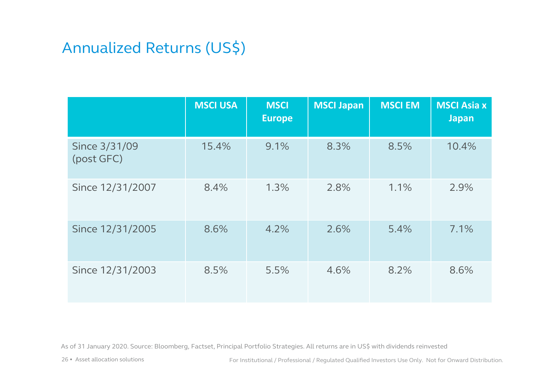### Annualized Returns (US\$)

|                             | <b>MSCI USA</b> | <b>MSCI</b><br><b>Europe</b> | <b>MSCI Japan</b> | <b>MSCI EM</b> | <b>MSCI Asia x</b><br><b>Japan</b> |
|-----------------------------|-----------------|------------------------------|-------------------|----------------|------------------------------------|
| Since 3/31/09<br>(post GFC) | 15.4%           | 9.1%                         | 8.3%              | 8.5%           | 10.4%                              |
| Since 12/31/2007            | 8.4%            | 1.3%                         | 2.8%              | 1.1%           | 2.9%                               |
| Since 12/31/2005            | 8.6%            | 4.2%                         | 2.6%              | 5.4%           | 7.1%                               |
| Since 12/31/2003            | 8.5%            | 5.5%                         | 4.6%              | 8.2%           | 8.6%                               |

As of 31 January 2020. Source: Bloomberg, Factset, Principal Portfolio Strategies. All returns are in US\$ with dividends reinvested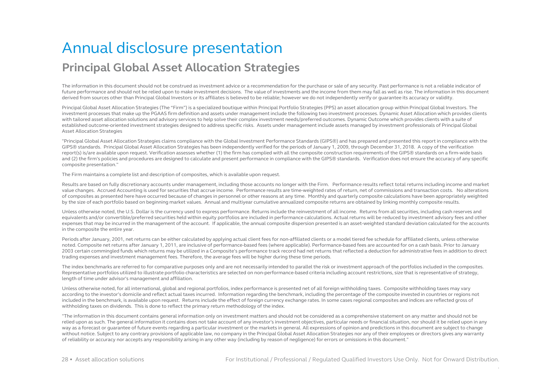### Annual disclosure presentation **Principal Global Asset Allocation Strategies**

The information in this document should not be construed as investment advice or a recommendation for the purchase or sale of any security. Past performance is not a reliable indicator of future performance and should not be relied upon to make investment decisions. The value of investments and the income from them may fall as well as rise. The information in this document derived from sources other than Principal Global Investors or its affiliates is believed to be reliable; however we do not independently verify or guarantee its accuracy or validity.

Principal Global Asset Allocation Strategies (The "Firm") is a specialized boutique within Principal Portfolio Strategies (PPS) an asset allocation group within Principal Global Investors. The investment processes that make up the PGAAS firm definition and assets under management include the following two investment processes. Dynamic Asset Allocation which provides clients with tailored asset allocation solutions and advisory services to help solve their complex investment needs/preferred outcomes. Dynamic Outcome which provides clients with a suite of established outcome-oriented investment strategies designed to address specific risks. Assets under management include assets managed by investment professionals of Principal Global Asset Allocation Strategies

"Principal Global Asset Allocation Strategies claims compliance with the Global Investment Performance Standards (GIPS®) and has prepared and presented this report in compliance with the GIPS® standards. Principal Global Asset Allocation Strategies has been independently verified for the periods of January 1, 2009, through December 31, 2018. A copy of the verification report(s) is/are available upon request. Verification assesses whether (1) the firm has complied with all the composite construction requirements of the GIPS® standards on a firm-wide basis and (2) the firm's policies and procedures are designed to calculate and present performance in compliance with the GIPS® standards. Verification does not ensure the accuracy of any specific composite presentation."

The Firm maintains a complete list and description of composites, which is available upon request.

Results are based on fully discretionary accounts under management, including those accounts no longer with the Firm. Performance results reflect total returns including income and market value changes. Accrued Accounting is used for securities that accrue income. Performance results are time-weighted rates of return, net of commissions and transaction costs. No alterations of composites as presented here have occurred because of changes in personnel or other reasons at any time. Monthly and quarterly composite calculations have been appropriately weighted by the size of each portfolio based on beginning market values. Annual and multiyear cumulative annualized composite returns are obtained by linking monthly composite results.

Unless otherwise noted, the U.S. Dollar is the currency used to express performance. Returns include the reinvestment of all income. Returns from all securities, including cash reserves and equivalents and/or convertible/preferred securities held within equity portfolios are included in performance calculations. Actual returns will be reduced by investment advisory fees and other expenses that may be incurred in the management of the account. If applicable, the annual composite dispersion presented is an asset-weighted standard deviation calculated for the accounts in the composite the entire year.

Periods after January, 2001, net returns can be either calculated by applying actual client fees for non-affiliated clients or a model tiered fee schedule for affiliated clients, unless otherwise noted. Composite net returns after January 1, 2011, are inclusive of performance-based fees (where applicable). Performance-based fees are accounted for on a cash basis. Prior to January 2003 certain commingled funds which returns may be utilized in a Composite's performance track record had net returns that reflected a deduction for administrative fees in addition to direct trading expenses and investment management fees. Therefore, the average fees will be higher during these time periods.

The index benchmarks are referred to for comparative purposes only and are not necessarily intended to parallel the risk or investment approach of the portfolios included in the composites. Representative portfolios utilized to illustrate portfolio characteristics are selected on non-performance-based criteria including account restrictions, size that is representative of strategy, length of time under advisor's management and affiliation.

Unless otherwise noted, for all international, global and regional portfolios, index performance is presented net of all foreign withholding taxes. Composite withholding taxes may vary according to the investor's domicile and reflect actual taxes incurred. Information regarding the benchmark, including the percentage of the composite invested in countries or regions not included in the benchmark, is available upon request. Returns include the effect of foreign currency exchange rates. In some cases regional composites and indices are reflected gross of withholding taxes on dividends. This is done to reflect the primary return methodology of the index.

"The information in this document contains general information only on investment matters and should not be considered as a comprehensive statement on any matter and should not be relied upon as such. The general information it contains does not take account of any investor's investment objectives, particular needs or financial situation, nor should it be relied upon in any way as a forecast or quarantee of future events regarding a particular investment or the markets in general. All expressions of opinion and predictions in this document are subject to change without notice. Subject to any contrary provisions of applicable law, no company in the Principal Global Asset Allocation Strategies nor any of their employees or directors gives any warranty of reliability or accuracy nor accepts any responsibility arising in any other way (including by reason of negligence) for errors or omissions in this document."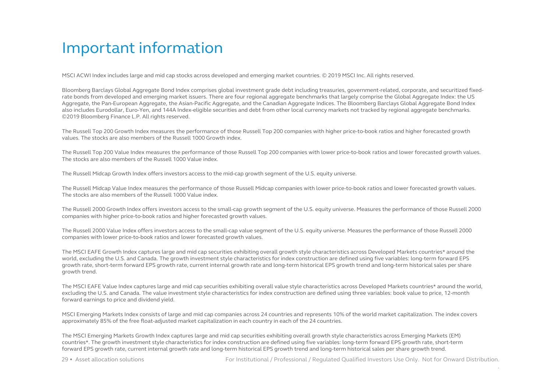MSCI ACWI Index includes large and mid cap stocks across developed and emerging market countries. © 2019 MSCI Inc. All rights reserved.

Bloomberg Barclays Global Aggregate Bond Index comprises global investment grade debt including treasuries, government-related, corporate, and securitized fixedrate bonds from developed and emerging market issuers. There are four regional aggregate benchmarks that largely comprise the Global Aggregate Index: the US Aggregate, the Pan-European Aggregate, the Asian-Pacific Aggregate, and the Canadian Aggregate Indices. The Bloomberg Barclays Global Aggregate Bond Index also includes Eurodollar, Euro-Yen, and 144A Index-eligible securities and debt from other local currency markets not tracked by regional aggregate benchmarks. ©2019 Bloomberg Finance L.P. All rights reserved.

The Russell Top 200 Growth Index measures the performance of those Russell Top 200 companies with higher price-to-book ratios and higher forecasted growth values. The stocks are also members of the Russell 1000 Growth index.

The Russell Top 200 Value Index measures the performance of those Russell Top 200 companies with lower price-to-book ratios and lower forecasted growth values. The stocks are also members of the Russell 1000 Value index.

The Russell Midcap Growth Index offers investors access to the mid-cap growth segment of the U.S. equity universe.

The Russell Midcap Value Index measures the performance of those Russell Midcap companies with lower price-to-book ratios and lower forecasted growth values. The stocks are also members of the Russell 1000 Value index.

The Russell 2000 Growth Index offers investors access to the small-cap growth segment of the U.S. equity universe. Measures the performance of those Russell 2000 companies with higher price-to-book ratios and higher forecasted growth values.

The Russell 2000 Value Index offers investors access to the small-cap value segment of the U.S. equity universe. Measures the performance of those Russell 2000 companies with lower price-to-book ratios and lower forecasted growth values.

The MSCI EAFE Growth Index captures large and mid cap securities exhibiting overall growth style characteristics across Developed Markets countries\* around the world, excluding the U.S. and Canada. The growth investment style characteristics for index construction are defined using five variables: long-term forward EPS growth rate, short-term forward EPS growth rate, current internal growth rate and long-term historical EPS growth trend and long-term historical sales per share growth trend.

The MSCI EAFE Value Index captures large and mid cap securities exhibiting overall value style characteristics across Developed Markets countries\* around the world, excluding the U.S. and Canada. The value investment style characteristics for index construction are defined using three variables: book value to price, 12-month forward earnings to price and dividend yield.

MSCI Emerging Markets Index consists of large and mid cap companies across 24 countries and represents 10% of the world market capitalization. The index covers approximately 85% of the free float-adjusted market capitalization in each country in each of the 24 countries.

The MSCI Emerging Markets Growth Index captures large and mid cap securities exhibiting overall growth style characteristics across Emerging Markets (EM) countries\*. The growth investment style characteristics for index construction are defined using five variables: long-term forward EPS growth rate, short-term forward EPS growth rate, current internal growth rate and long-term historical EPS growth trend and long-term historical sales per share growth trend.

29 • Asset allocation solutions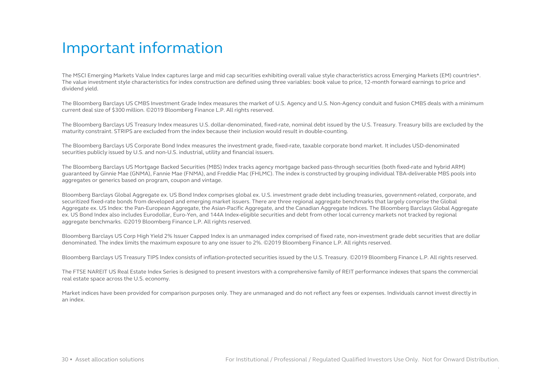The MSCI Emerging Markets Value Index captures large and mid cap securities exhibiting overall value style characteristics across Emerging Markets (EM) countries\*. The value investment style characteristics for index construction are defined using three variables: book value to price, 12-month forward earnings to price and dividend yield.

The Bloomberg Barclays US CMBS Investment Grade Index measures the market of U.S. Agency and U.S. Non-Agency conduit and fusion CMBS deals with a minimum current deal size of \$300 million. ©2019 Bloomberg Finance L.P. All rights reserved.

The Bloomberg Barclays US Treasury Index measures U.S. dollar-denominated, fixed-rate, nominal debt issued by the U.S. Treasury. Treasury bills are excluded by the maturity constraint. STRIPS are excluded from the index because their inclusion would result in double-counting.

The Bloomberg Barclays US Corporate Bond Index measures the investment grade, fixed-rate, taxable corporate bond market. It includes USD-denominated securities publicly issued by U.S. and non-U.S. industrial, utility and financial issuers.

The Bloomberg Barclays US Mortgage Backed Securities (MBS) Index tracks agency mortgage backed pass-through securities (both fixed-rate and hybrid ARM) guaranteed by Ginnie Mae (GNMA), Fannie Mae (FNMA), and Freddie Mac (FHLMC). The index is constructed by grouping individual TBA-deliverable MBS pools into aggregates or generics based on program, coupon and vintage.

Bloomberg Barclays Global Aggregate ex. US Bond Index comprises global ex. U.S. investment grade debt including treasuries, government-related, corporate, and securitized fixed-rate bonds from developed and emerging market issuers. There are three regional aggregate benchmarks that largely comprise the Global Aggregate ex. US Index: the Pan-European Aggregate, the Asian-Pacific Aggregate, and the Canadian Aggregate Indices. The Bloomberg Barclays Global Aggregate ex. US Bond Index also includes Eurodollar, Euro-Yen, and 144A Index-eligible securities and debt from other local currency markets not tracked by regional aggregate benchmarks. ©2019 Bloomberg Finance L.P. All rights reserved.

Bloomberg Barclays US Corp High Yield 2% Issuer Capped Index is an unmanaged index comprised of fixed rate, non-investment grade debt securities that are dollar denominated. The index limits the maximum exposure to any one issuer to 2%. ©2019 Bloomberg Finance L.P. All rights reserved.

Bloomberg Barclays US Treasury TIPS Index consists of inflation-protected securities issued by the U.S. Treasury. ©2019 Bloomberg Finance L.P. All rights reserved.

The FTSE NAREIT US Real Estate Index Series is designed to present investors with a comprehensive family of REIT performance indexes that spans the commercial real estate space across the U.S. economy.

Market indices have been provided for comparison purposes only. They are unmanaged and do not reflect any fees or expenses. Individuals cannot invest directly in an index.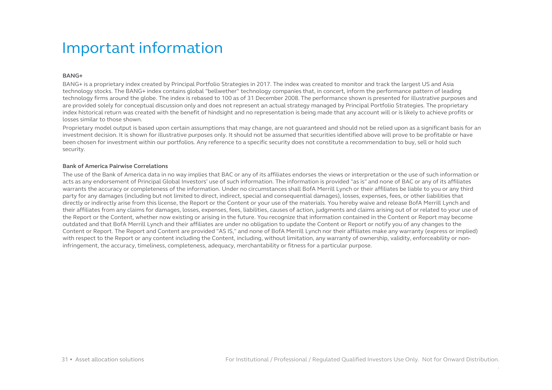#### **BANG+**

BANG+ is a proprietary index created by Principal Portfolio Strategies in 2017. The index was created to monitor and track the largest US and Asia technology stocks. The BANG+ index contains global "bellwether" technology companies that, in concert, inform the performance pattern of leading technology firms around the globe. The index is rebased to 100 as of 31 December 2008. The performance shown is presented for illustrative purposes and are provided solely for conceptual discussion only and does not represent an actual strategy managed by Principal Portfolio Strategies. The proprietary index historical return was created with the benefit of hindsight and no representation is being made that any account will or is likely to achieve profits or losses similar to those shown.

Proprietary model output is based upon certain assumptions that may change, are not guaranteed and should not be relied upon as a significant basis for an investment decision. It is shown for illustrative purposes only. It should not be assumed that securities identified above will prove to be profitable or have been chosen for investment within our portfolios. Any reference to a specific security does not constitute a recommendation to buy, sell or hold such security.

#### **Bank of America Pairwise Correlations**

The use of the Bank of America data in no way implies that BAC or any of its affiliates endorses the views or interpretation or the use of such information or acts as any endorsement of Principal Global Investors' use of such information. The information is provided "as is" and none of BAC or any of its affiliates warrants the accuracy or completeness of the information. Under no circumstances shall BofA Merrill Lynch or their affiliates be liable to you or any third party for any damages (including but not limited to direct, indirect, special and consequential damages), losses, expenses, fees, or other liabilities that directly or indirectly arise from this license, the Report or the Content or your use of the materials. You hereby waive and release BofA Merrill Lynch and their affiliates from any claims for damages, losses, expenses, fees, liabilities, causes of action, judgments and claims arising out of or related to your use of the Report or the Content, whether now existing or arising in the future. You recognize that information contained in the Content or Report may become outdated and that BofA Merrill Lynch and their affiliates are under no obligation to update the Content or Report or notify you of any changes to the Content or Report. The Report and Content are provided "AS IS," and none of BofA Merrill Lynch nor their affiliates make any warranty (express or implied) with respect to the Report or any content including the Content, including, without limitation, any warranty of ownership, validity, enforceability or noninfringement, the accuracy, timeliness, completeness, adequacy, merchantability or fitness for a particular purpose.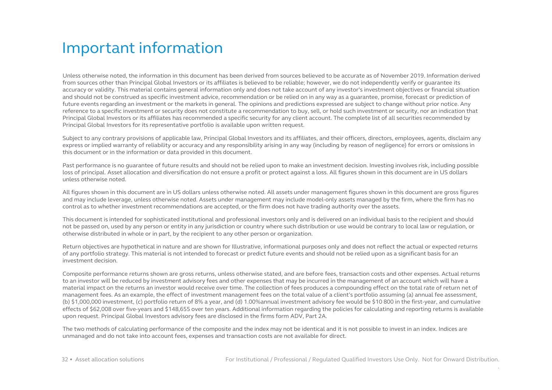Unless otherwise noted, the information in this document has been derived from sources believed to be accurate as of November 2019. Information derived from sources other than Principal Global Investors or its affiliates is believed to be reliable; however, we do not independently verify or guarantee its accuracy or validity. This material contains general information only and does not take account of any investor's investment objectives or financial situation and should not be construed as specific investment advice, recommendation or be relied on in any way as a guarantee, promise, forecast or prediction of future events regarding an investment or the markets in general. The opinions and predictions expressed are subject to change without prior notice. Any reference to a specific investment or security does not constitute a recommendation to buy, sell, or hold such investment or security, nor an indication that Principal Global Investors or its affiliates has recommended a specific security for any client account. The complete list of all securities recommended by Principal Global Investors for its representative portfolio is available upon written request.

Subject to any contrary provisions of applicable law, Principal Global Investors and its affiliates, and their officers, directors, employees, agents, disclaim any express or implied warranty of reliability or accuracy and any responsibility arising in any way (including by reason of negligence) for errors or omissions in this document or in the information or data provided in this document.

Past performance is no guarantee of future results and should not be relied upon to make an investment decision. Investing involves risk, including possible loss of principal. Asset allocation and diversification do not ensure a profit or protect against a loss. All figures shown in this document are in US dollars unless otherwise noted.

All figures shown in this document are in US dollars unless otherwise noted. All assets under management figures shown in this document are gross figures and may include leverage, unless otherwise noted. Assets under management may include model-only assets managed by the firm, where the firm has no control as to whether investment recommendations are accepted, or the firm does not have trading authority over the assets.

This document is intended for sophisticated institutional and professional investors only and is delivered on an individual basis to the recipient and should not be passed on, used by any person or entity in any jurisdiction or country where such distribution or use would be contrary to local law or regulation, or otherwise distributed in whole or in part, by the recipient to any other person or organization.

Return objectives are hypothetical in nature and are shown for Illustrative, informational purposes only and does not reflect the actual or expected returns of any portfolio strategy. This material is not intended to forecast or predict future events and should not be relied upon as a significant basis for an investment decision.

Composite performance returns shown are gross returns, unless otherwise stated, and are before fees, transaction costs and other expenses. Actual returns to an investor will be reduced by investment advisory fees and other expenses that may be incurred in the management of an account which will have a material impact on the returns an investor would receive over time. The collection of fees produces a compounding effect on the total rate of return net of management fees. As an example, the effect of investment management fees on the total value of a client's portfolio assuming (a) annual fee assessment, (b) \$1,000,000 investment, (c) portfolio return of 8% a year, and (d) 1.00%annual investment advisory fee would be \$10 800 in the first-year, and cumulative effects of \$62,008 over five-years and \$148,655 over ten years. Additional information regarding the policies for calculating and reporting returns is available upon request. Principal Global Investors advisory fees are disclosed in the firms form ADV, Part 2A.

The two methods of calculating performance of the composite and the index may not be identical and it is not possible to invest in an index. Indices are unmanaged and do not take into account fees, expenses and transaction costs are not available for direct.